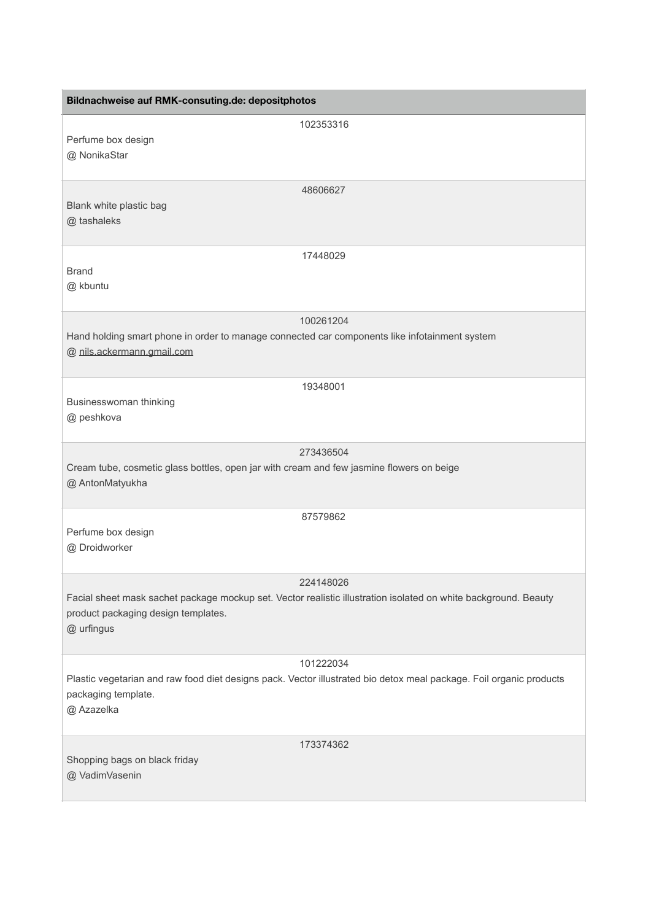| Bildnachweise auf RMK-consuting.de: depositphotos                                                                                                                                 |  |  |
|-----------------------------------------------------------------------------------------------------------------------------------------------------------------------------------|--|--|
| 102353316<br>Perfume box design<br>@ NonikaStar                                                                                                                                   |  |  |
| 48606627<br>Blank white plastic bag<br>@ tashaleks                                                                                                                                |  |  |
| 17448029<br><b>Brand</b><br>@ kbuntu                                                                                                                                              |  |  |
| 100261204<br>Hand holding smart phone in order to manage connected car components like infotainment system<br>@ nils.ackermann.gmail.com                                          |  |  |
| 19348001<br>Businesswoman thinking<br>@ peshkova                                                                                                                                  |  |  |
| 273436504<br>Cream tube, cosmetic glass bottles, open jar with cream and few jasmine flowers on beige<br>@ AntonMatyukha                                                          |  |  |
| 87579862<br>Perfume box design<br>@ Droidworker                                                                                                                                   |  |  |
| 224148026<br>Facial sheet mask sachet package mockup set. Vector realistic illustration isolated on white background. Beauty<br>product packaging design templates.<br>@ urfingus |  |  |
| 101222034<br>Plastic vegetarian and raw food diet designs pack. Vector illustrated bio detox meal package. Foil organic products<br>packaging template.<br>@ Azazelka             |  |  |
| 173374362<br>Shopping bags on black friday<br>@ VadimVasenin                                                                                                                      |  |  |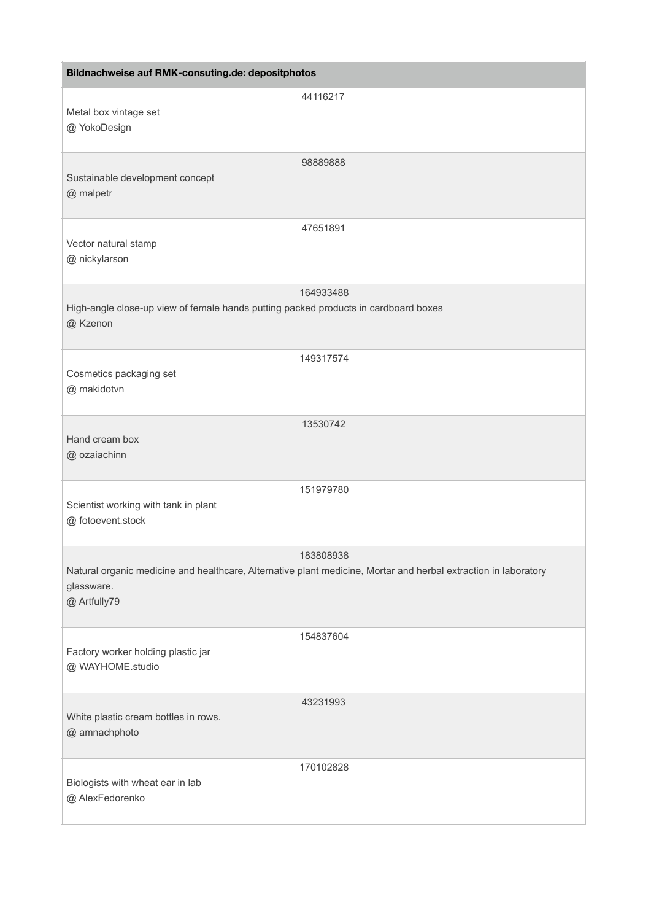| Bildnachweise auf RMK-consuting.de: depositphotos                                                            |                                                                                                                              |  |
|--------------------------------------------------------------------------------------------------------------|------------------------------------------------------------------------------------------------------------------------------|--|
| Metal box vintage set<br>@ YokoDesign                                                                        | 44116217                                                                                                                     |  |
| Sustainable development concept<br>@ malpetr                                                                 | 98889888                                                                                                                     |  |
| Vector natural stamp<br>@ nickylarson                                                                        | 47651891                                                                                                                     |  |
| 164933488<br>High-angle close-up view of female hands putting packed products in cardboard boxes<br>@ Kzenon |                                                                                                                              |  |
| Cosmetics packaging set<br>@ makidotvn                                                                       | 149317574                                                                                                                    |  |
| Hand cream box<br>@ ozaiachinn                                                                               | 13530742                                                                                                                     |  |
| Scientist working with tank in plant<br>@ fotoevent.stock                                                    | 151979780                                                                                                                    |  |
| glassware.<br>@ Artfully79                                                                                   | 183808938<br>Natural organic medicine and healthcare, Alternative plant medicine, Mortar and herbal extraction in laboratory |  |
| Factory worker holding plastic jar<br>@ WAYHOME.studio                                                       | 154837604                                                                                                                    |  |
| White plastic cream bottles in rows.<br>@ amnachphoto                                                        | 43231993                                                                                                                     |  |
| Biologists with wheat ear in lab<br>@ AlexFedorenko                                                          | 170102828                                                                                                                    |  |